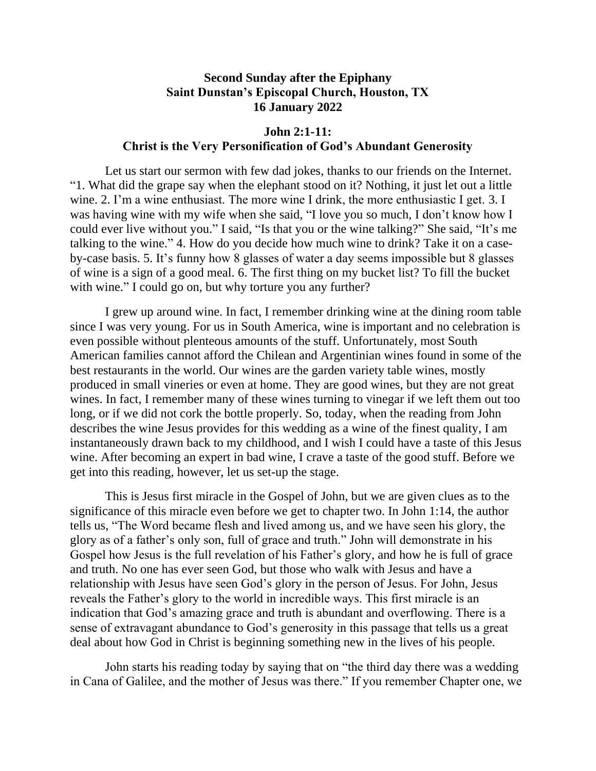## **Second Sunday after the Epiphany Saint Dunstan's Episcopal Church, Houston, TX 16 January 2022**

## **John 2:1-11: Christ is the Very Personification of God's Abundant Generosity**

Let us start our sermon with few dad jokes, thanks to our friends on the Internet. "1. What did the grape say when the elephant stood on it? Nothing, it just let out a little wine. 2. I'm a wine enthusiast. The more wine I drink, the more enthusiastic I get. 3. I was having wine with my wife when she said, "I love you so much, I don't know how I could ever live without you." I said, "Is that you or the wine talking?" She said, "It's me talking to the wine." 4. How do you decide how much wine to drink? Take it on a caseby-case basis. 5. It's funny how 8 glasses of water a day seems impossible but 8 glasses of wine is a sign of a good meal. 6. The first thing on my bucket list? To fill the bucket with wine." I could go on, but why torture you any further?

I grew up around wine. In fact, I remember drinking wine at the dining room table since I was very young. For us in South America, wine is important and no celebration is even possible without plenteous amounts of the stuff. Unfortunately, most South American families cannot afford the Chilean and Argentinian wines found in some of the best restaurants in the world. Our wines are the garden variety table wines, mostly produced in small vineries or even at home. They are good wines, but they are not great wines. In fact, I remember many of these wines turning to vinegar if we left them out too long, or if we did not cork the bottle properly. So, today, when the reading from John describes the wine Jesus provides for this wedding as a wine of the finest quality, I am instantaneously drawn back to my childhood, and I wish I could have a taste of this Jesus wine. After becoming an expert in bad wine, I crave a taste of the good stuff. Before we get into this reading, however, let us set-up the stage.

This is Jesus first miracle in the Gospel of John, but we are given clues as to the significance of this miracle even before we get to chapter two. In John 1:14, the author tells us, "The Word became flesh and lived among us, and we have seen his glory, the glory as of a father's only son, full of grace and truth." John will demonstrate in his Gospel how Jesus is the full revelation of his Father's glory, and how he is full of grace and truth. No one has ever seen God, but those who walk with Jesus and have a relationship with Jesus have seen God's glory in the person of Jesus. For John, Jesus reveals the Father's glory to the world in incredible ways. This first miracle is an indication that God's amazing grace and truth is abundant and overflowing. There is a sense of extravagant abundance to God's generosity in this passage that tells us a great deal about how God in Christ is beginning something new in the lives of his people.

John starts his reading today by saying that on "the third day there was a wedding in Cana of Galilee, and the mother of Jesus was there." If you remember Chapter one, we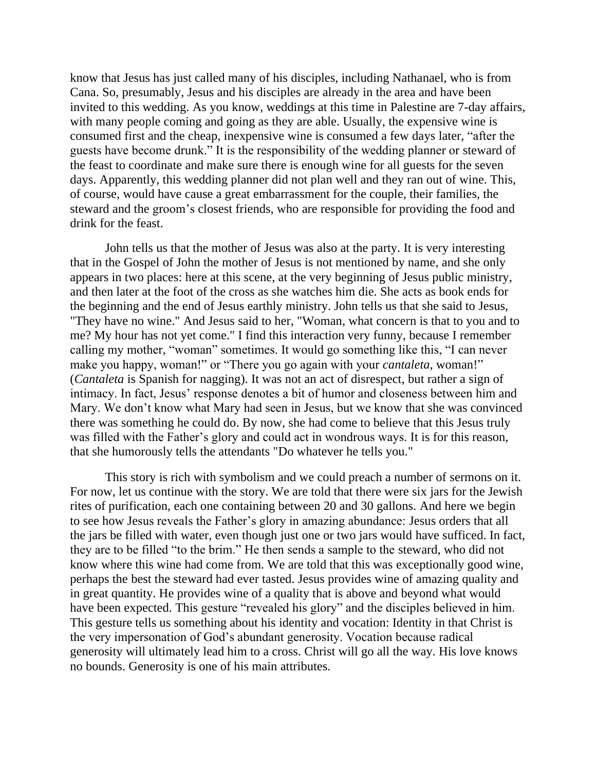know that Jesus has just called many of his disciples, including Nathanael, who is from Cana. So, presumably, Jesus and his disciples are already in the area and have been invited to this wedding. As you know, weddings at this time in Palestine are 7-day affairs, with many people coming and going as they are able. Usually, the expensive wine is consumed first and the cheap, inexpensive wine is consumed a few days later, "after the guests have become drunk." It is the responsibility of the wedding planner or steward of the feast to coordinate and make sure there is enough wine for all guests for the seven days. Apparently, this wedding planner did not plan well and they ran out of wine. This, of course, would have cause a great embarrassment for the couple, their families, the steward and the groom's closest friends, who are responsible for providing the food and drink for the feast.

John tells us that the mother of Jesus was also at the party. It is very interesting that in the Gospel of John the mother of Jesus is not mentioned by name, and she only appears in two places: here at this scene, at the very beginning of Jesus public ministry, and then later at the foot of the cross as she watches him die. She acts as book ends for the beginning and the end of Jesus earthly ministry. John tells us that she said to Jesus, "They have no wine." And Jesus said to her, "Woman, what concern is that to you and to me? My hour has not yet come." I find this interaction very funny, because I remember calling my mother, "woman" sometimes. It would go something like this, "I can never make you happy, woman!" or "There you go again with your *cantaleta,* woman!" (*Cantaleta* is Spanish for nagging). It was not an act of disrespect, but rather a sign of intimacy. In fact, Jesus' response denotes a bit of humor and closeness between him and Mary. We don't know what Mary had seen in Jesus, but we know that she was convinced there was something he could do. By now, she had come to believe that this Jesus truly was filled with the Father's glory and could act in wondrous ways. It is for this reason, that she humorously tells the attendants "Do whatever he tells you."

This story is rich with symbolism and we could preach a number of sermons on it. For now, let us continue with the story. We are told that there were six jars for the Jewish rites of purification, each one containing between 20 and 30 gallons. And here we begin to see how Jesus reveals the Father's glory in amazing abundance: Jesus orders that all the jars be filled with water, even though just one or two jars would have sufficed. In fact, they are to be filled "to the brim." He then sends a sample to the steward, who did not know where this wine had come from. We are told that this was exceptionally good wine, perhaps the best the steward had ever tasted. Jesus provides wine of amazing quality and in great quantity. He provides wine of a quality that is above and beyond what would have been expected. This gesture "revealed his glory" and the disciples believed in him. This gesture tells us something about his identity and vocation: Identity in that Christ is the very impersonation of God's abundant generosity. Vocation because radical generosity will ultimately lead him to a cross. Christ will go all the way. His love knows no bounds. Generosity is one of his main attributes.